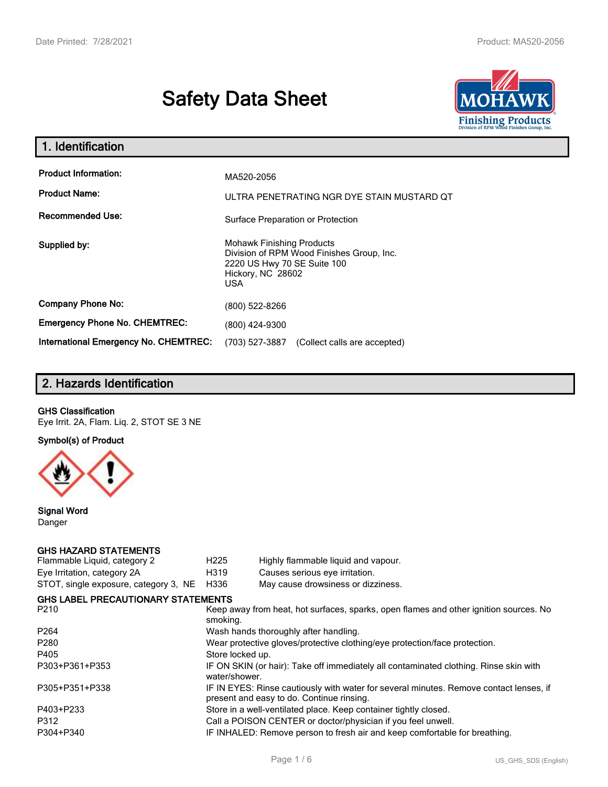# **Safety Data Sheet**



| 1. Identification                                   |                                                                                                                                          |  |  |  |
|-----------------------------------------------------|------------------------------------------------------------------------------------------------------------------------------------------|--|--|--|
| <b>Product Information:</b><br><b>Product Name:</b> | MA520-2056<br>ULTRA PENETRATING NGR DYE STAIN MUSTARD QT                                                                                 |  |  |  |
| <b>Recommended Use:</b>                             | Surface Preparation or Protection                                                                                                        |  |  |  |
| Supplied by:                                        | <b>Mohawk Finishing Products</b><br>Division of RPM Wood Finishes Group, Inc.<br>2220 US Hwy 70 SE Suite 100<br>Hickory, NC 28602<br>USA |  |  |  |
| <b>Company Phone No:</b>                            | (800) 522-8266                                                                                                                           |  |  |  |
| <b>Emergency Phone No. CHEMTREC:</b>                | (800) 424-9300                                                                                                                           |  |  |  |
| <b>International Emergency No. CHEMTREC:</b>        | (703) 527-3887<br>(Collect calls are accepted)                                                                                           |  |  |  |

# **2. Hazards Identification**

## **GHS Classification**

Eye Irrit. 2A, Flam. Liq. 2, STOT SE 3 NE

**Symbol(s) of Product**



**Signal Word** Danger

#### **GHS HAZARD STATEMENTS**

| H <sub>225</sub>                                                                                  | Highly flammable liquid and vapour.                                                                                                 |  |  |
|---------------------------------------------------------------------------------------------------|-------------------------------------------------------------------------------------------------------------------------------------|--|--|
| H319                                                                                              | Causes serious eye irritation.                                                                                                      |  |  |
| H336                                                                                              | May cause drowsiness or dizziness.                                                                                                  |  |  |
|                                                                                                   |                                                                                                                                     |  |  |
| Keep away from heat, hot surfaces, sparks, open flames and other ignition sources. No<br>smoking. |                                                                                                                                     |  |  |
|                                                                                                   | Wash hands thoroughly after handling.                                                                                               |  |  |
| Wear protective gloves/protective clothing/eye protection/face protection.                        |                                                                                                                                     |  |  |
| Store locked up.                                                                                  |                                                                                                                                     |  |  |
| water/shower.                                                                                     | IF ON SKIN (or hair): Take off immediately all contaminated clothing. Rinse skin with                                               |  |  |
|                                                                                                   | IF IN EYES: Rinse cautiously with water for several minutes. Remove contact lenses, if<br>present and easy to do. Continue rinsing. |  |  |
|                                                                                                   | Store in a well-ventilated place. Keep container tightly closed.                                                                    |  |  |
|                                                                                                   | Call a POISON CENTER or doctor/physician if you feel unwell.                                                                        |  |  |
|                                                                                                   | IF INHALED: Remove person to fresh air and keep comfortable for breathing.                                                          |  |  |
|                                                                                                   | <b>GHS LABEL PRECAUTIONARY STATEMENTS</b>                                                                                           |  |  |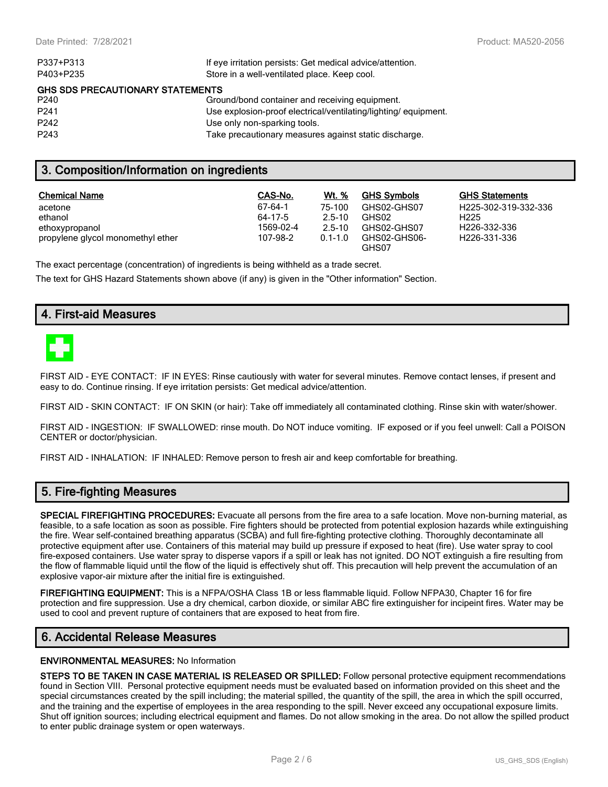| P337+P313                                                 | If eye irritation persists: Get medical advice/attention.      |  |  |  |
|-----------------------------------------------------------|----------------------------------------------------------------|--|--|--|
| P403+P235<br>Store in a well-ventilated place. Keep cool. |                                                                |  |  |  |
| <b>GHS SDS PRECAUTIONARY STATEMENTS</b>                   |                                                                |  |  |  |
| P240                                                      | Ground/bond container and receiving equipment.                 |  |  |  |
| P <sub>241</sub>                                          | Use explosion-proof electrical/ventilating/lighting/equipment. |  |  |  |
| P <sub>242</sub>                                          | Use only non-sparking tools.                                   |  |  |  |
| P <sub>243</sub>                                          | Take precautionary measures against static discharge.          |  |  |  |

## **3. Composition/Information on ingredients**

| <b>Chemical Name</b>              | CAS-No.   | <b>Wt.</b> % | <b>GHS Symbols</b>    | <b>GHS Statements</b> |
|-----------------------------------|-----------|--------------|-----------------------|-----------------------|
| acetone                           | 67-64-1   | 75-100       | GHS02-GHS07           | H225-302-319-332-336  |
| ethanol                           | 64-17-5   | $2.5 - 10$   | GHS02                 | H <sub>225</sub>      |
| ethoxypropanol                    | 1569-02-4 | $2.5 - 10$   | GHS02-GHS07           | H226-332-336          |
| propylene glycol monomethyl ether | 107-98-2  | $0.1 - 1.0$  | GHS02-GHS06-<br>GHS07 | H226-331-336          |

The exact percentage (concentration) of ingredients is being withheld as a trade secret.

The text for GHS Hazard Statements shown above (if any) is given in the "Other information" Section.

## **4. First-aid Measures**



FIRST AID - EYE CONTACT: IF IN EYES: Rinse cautiously with water for several minutes. Remove contact lenses, if present and easy to do. Continue rinsing. If eye irritation persists: Get medical advice/attention.

FIRST AID - SKIN CONTACT: IF ON SKIN (or hair): Take off immediately all contaminated clothing. Rinse skin with water/shower.

FIRST AID - INGESTION: IF SWALLOWED: rinse mouth. Do NOT induce vomiting. IF exposed or if you feel unwell: Call a POISON CENTER or doctor/physician.

FIRST AID - INHALATION: IF INHALED: Remove person to fresh air and keep comfortable for breathing.

# **5. Fire-fighting Measures**

**SPECIAL FIREFIGHTING PROCEDURES:** Evacuate all persons from the fire area to a safe location. Move non-burning material, as feasible, to a safe location as soon as possible. Fire fighters should be protected from potential explosion hazards while extinguishing the fire. Wear self-contained breathing apparatus (SCBA) and full fire-fighting protective clothing. Thoroughly decontaminate all protective equipment after use. Containers of this material may build up pressure if exposed to heat (fire). Use water spray to cool fire-exposed containers. Use water spray to disperse vapors if a spill or leak has not ignited. DO NOT extinguish a fire resulting from the flow of flammable liquid until the flow of the liquid is effectively shut off. This precaution will help prevent the accumulation of an explosive vapor-air mixture after the initial fire is extinguished.

**FIREFIGHTING EQUIPMENT:** This is a NFPA/OSHA Class 1B or less flammable liquid. Follow NFPA30, Chapter 16 for fire protection and fire suppression. Use a dry chemical, carbon dioxide, or similar ABC fire extinguisher for incipeint fires. Water may be used to cool and prevent rupture of containers that are exposed to heat from fire.

## **6. Accidental Release Measures**

#### **ENVIRONMENTAL MEASURES:** No Information

**STEPS TO BE TAKEN IN CASE MATERIAL IS RELEASED OR SPILLED:** Follow personal protective equipment recommendations found in Section VIII. Personal protective equipment needs must be evaluated based on information provided on this sheet and the special circumstances created by the spill including; the material spilled, the quantity of the spill, the area in which the spill occurred, and the training and the expertise of employees in the area responding to the spill. Never exceed any occupational exposure limits. Shut off ignition sources; including electrical equipment and flames. Do not allow smoking in the area. Do not allow the spilled product to enter public drainage system or open waterways.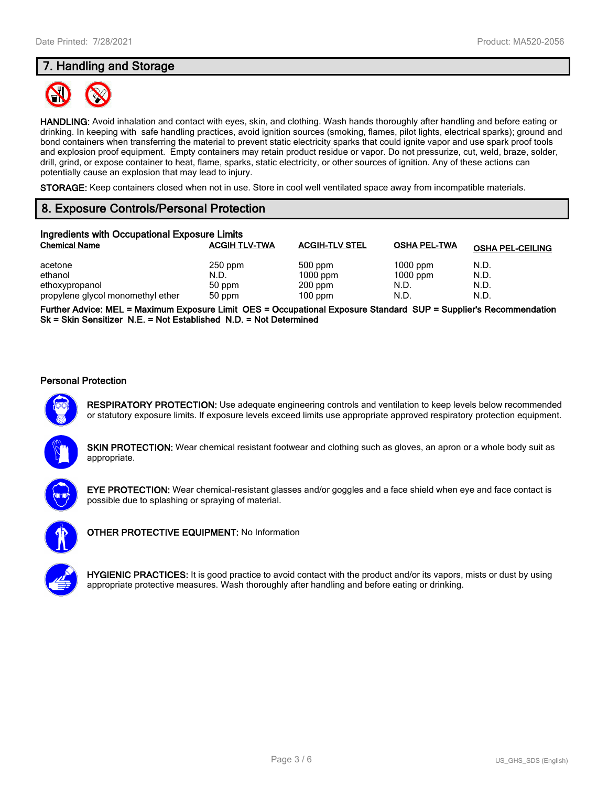# **7. Handling and Storage**



**HANDLING:** Avoid inhalation and contact with eyes, skin, and clothing. Wash hands thoroughly after handling and before eating or drinking. In keeping with safe handling practices, avoid ignition sources (smoking, flames, pilot lights, electrical sparks); ground and bond containers when transferring the material to prevent static electricity sparks that could ignite vapor and use spark proof tools and explosion proof equipment. Empty containers may retain product residue or vapor. Do not pressurize, cut, weld, braze, solder, drill, grind, or expose container to heat, flame, sparks, static electricity, or other sources of ignition. Any of these actions can potentially cause an explosion that may lead to injury.

**STORAGE:** Keep containers closed when not in use. Store in cool well ventilated space away from incompatible materials.

# **8. Exposure Controls/Personal Protection**

| Ingredients with Occupational Exposure Limits |                      |                       |                     |                         |  |  |
|-----------------------------------------------|----------------------|-----------------------|---------------------|-------------------------|--|--|
| <b>Chemical Name</b>                          | <b>ACGIH TLV-TWA</b> | <b>ACGIH-TLV STEL</b> | <b>OSHA PEL-TWA</b> | <b>OSHA PEL-CEILING</b> |  |  |
| acetone                                       | $250$ ppm            | 500 ppm               | $1000$ ppm          | N.D.                    |  |  |
| ethanol                                       | N.D.                 | $1000$ ppm            | $1000$ ppm          | N.D.                    |  |  |
| ethoxypropanol                                | 50 ppm               | $200$ ppm             | N.D.                | N.D.                    |  |  |
| propylene glycol monomethyl ether             | 50 ppm               | $100$ ppm             | N.D.                | N.D.                    |  |  |

**Further Advice: MEL = Maximum Exposure Limit OES = Occupational Exposure Standard SUP = Supplier's Recommendation Sk = Skin Sensitizer N.E. = Not Established N.D. = Not Determined**

#### **Personal Protection**



**RESPIRATORY PROTECTION:** Use adequate engineering controls and ventilation to keep levels below recommended or statutory exposure limits. If exposure levels exceed limits use appropriate approved respiratory protection equipment.

**SKIN PROTECTION:** Wear chemical resistant footwear and clothing such as gloves, an apron or a whole body suit as appropriate.



**EYE PROTECTION:** Wear chemical-resistant glasses and/or goggles and a face shield when eye and face contact is possible due to splashing or spraying of material.



**OTHER PROTECTIVE EQUIPMENT:** No Information



**HYGIENIC PRACTICES:** It is good practice to avoid contact with the product and/or its vapors, mists or dust by using appropriate protective measures. Wash thoroughly after handling and before eating or drinking.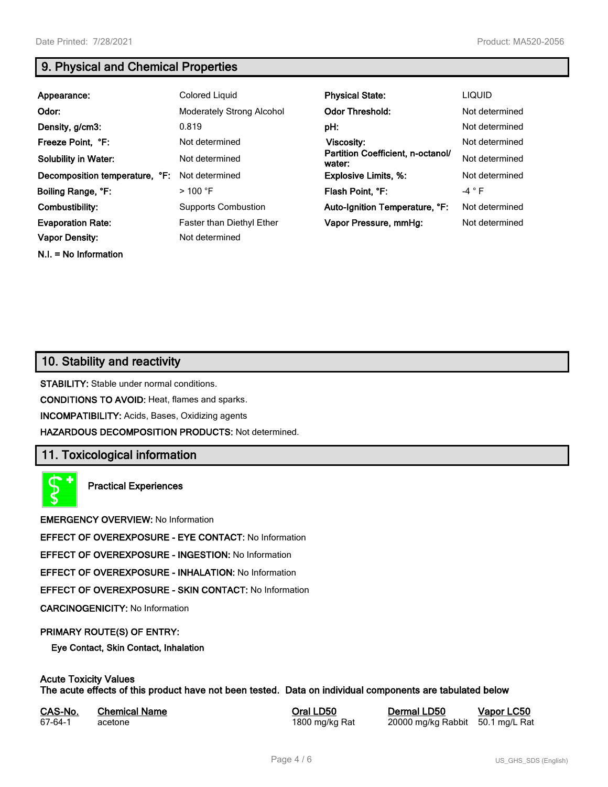**N.I. = No Information**

# **9. Physical and Chemical Properties**

| Appearance:                                       | Colored Liquid                                     | <b>Physical State:</b>                      | <b>LIQUID</b>  |
|---------------------------------------------------|----------------------------------------------------|---------------------------------------------|----------------|
| Odor:                                             | <b>Moderately Strong Alcohol</b>                   | <b>Odor Threshold:</b>                      | Not determined |
| Density, g/cm3:                                   | 0.819                                              | pH:                                         | Not determined |
| Freeze Point, °F:                                 | Not determined                                     | Viscosity:                                  | Not determined |
| <b>Solubility in Water:</b>                       | Not determined                                     | Partition Coefficient, n-octanol/<br>water: | Not determined |
| Decomposition temperature, °F:                    | Not determined                                     | <b>Explosive Limits, %:</b>                 | Not determined |
| Boiling Range, °F:                                | $>100$ °F                                          | Flash Point, °F:                            | $-4 ° F$       |
| Combustibility:                                   | <b>Supports Combustion</b>                         | Auto-Ignition Temperature, °F:              | Not determined |
| <b>Evaporation Rate:</b><br><b>Vapor Density:</b> | <b>Faster than Diethyl Ether</b><br>Not determined | Vapor Pressure, mmHq:                       | Not determined |

# **10. Stability and reactivity**

**STABILITY:** Stable under normal conditions.

**CONDITIONS TO AVOID:** Heat, flames and sparks.

**INCOMPATIBILITY:** Acids, Bases, Oxidizing agents

**HAZARDOUS DECOMPOSITION PRODUCTS:** Not determined.

# **11. Toxicological information**

**Practical Experiences**

**EMERGENCY OVERVIEW:** No Information

**EFFECT OF OVEREXPOSURE - EYE CONTACT:** No Information

**EFFECT OF OVEREXPOSURE - INGESTION:** No Information

**EFFECT OF OVEREXPOSURE - INHALATION:** No Information

**EFFECT OF OVEREXPOSURE - SKIN CONTACT:** No Information

**CARCINOGENICITY:** No Information

#### **PRIMARY ROUTE(S) OF ENTRY:**

**Eye Contact, Skin Contact, Inhalation**

# **Acute Toxicity Values**

**The acute effects of this product have not been tested. Data on individual components are tabulated below**

| CAS-No. | <b>Chemical Name</b> |
|---------|----------------------|
| 67-64-1 | acetone              |

**Casary Chemical Chemical LD50 Chemical LD50 Vapor LC50** 1800 mg/kg Rat 20000 mg/kg Rabbit 50.1 mg/L Rat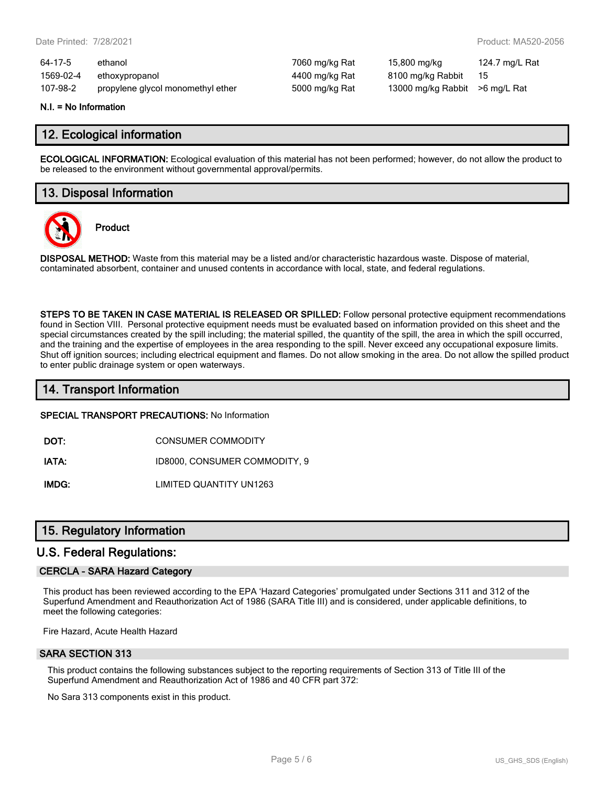| 64-17-5   | ethanol                           | 7060 mg/kg Rat | 15,800 mg/kg                    | 124.7 mg/L Rat |
|-----------|-----------------------------------|----------------|---------------------------------|----------------|
| 1569-02-4 | ethoxypropanol                    | 4400 mg/kg Rat | 8100 mg/kg Rabbit               | - 15           |
| 107-98-2  | propylene glycol monomethyl ether | 5000 mg/kg Rat | 13000 mg/kg Rabbit > 6 mg/L Rat |                |

#### **N.I. = No Information**

## **12. Ecological information**

**ECOLOGICAL INFORMATION:** Ecological evaluation of this material has not been performed; however, do not allow the product to be released to the environment without governmental approval/permits.

## **13. Disposal Information**



**Product**

**DISPOSAL METHOD:** Waste from this material may be a listed and/or characteristic hazardous waste. Dispose of material, contaminated absorbent, container and unused contents in accordance with local, state, and federal regulations.

**STEPS TO BE TAKEN IN CASE MATERIAL IS RELEASED OR SPILLED:** Follow personal protective equipment recommendations found in Section VIII. Personal protective equipment needs must be evaluated based on information provided on this sheet and the special circumstances created by the spill including; the material spilled, the quantity of the spill, the area in which the spill occurred, and the training and the expertise of employees in the area responding to the spill. Never exceed any occupational exposure limits. Shut off ignition sources; including electrical equipment and flames. Do not allow smoking in the area. Do not allow the spilled product to enter public drainage system or open waterways.

## **14. Transport Information**

#### **SPECIAL TRANSPORT PRECAUTIONS:** No Information

**DOT:** CONSUMER COMMODITY

**IATA:** ID8000, CONSUMER COMMODITY, 9

**IMDG:** LIMITED QUANTITY UN1263

## **15. Regulatory Information**

## **U.S. Federal Regulations:**

#### **CERCLA - SARA Hazard Category**

This product has been reviewed according to the EPA 'Hazard Categories' promulgated under Sections 311 and 312 of the Superfund Amendment and Reauthorization Act of 1986 (SARA Title III) and is considered, under applicable definitions, to meet the following categories:

Fire Hazard, Acute Health Hazard

#### **SARA SECTION 313**

This product contains the following substances subject to the reporting requirements of Section 313 of Title III of the Superfund Amendment and Reauthorization Act of 1986 and 40 CFR part 372:

No Sara 313 components exist in this product.